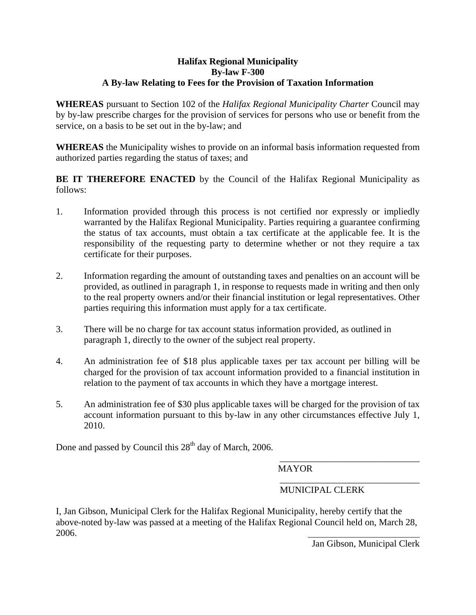## **Halifax Regional Municipality By-law F-300 A By-law Relating to Fees for the Provision of Taxation Information**

**WHEREAS** pursuant to Section 102 of the *Halifax Regional Municipality Charter* Council may by by-law prescribe charges for the provision of services for persons who use or benefit from the service, on a basis to be set out in the by-law; and

**WHEREAS** the Municipality wishes to provide on an informal basis information requested from authorized parties regarding the status of taxes; and

**BE IT THEREFORE ENACTED** by the Council of the Halifax Regional Municipality as follows:

- 1. Information provided through this process is not certified nor expressly or impliedly warranted by the Halifax Regional Municipality. Parties requiring a guarantee confirming the status of tax accounts, must obtain a tax certificate at the applicable fee. It is the responsibility of the requesting party to determine whether or not they require a tax certificate for their purposes.
- 2. Information regarding the amount of outstanding taxes and penalties on an account will be provided, as outlined in paragraph 1, in response to requests made in writing and then only to the real property owners and/or their financial institution or legal representatives. Other parties requiring this information must apply for a tax certificate.
- 3. There will be no charge for tax account status information provided, as outlined in paragraph 1, directly to the owner of the subject real property.
- 4. An administration fee of \$18 plus applicable taxes per tax account per billing will be charged for the provision of tax account information provided to a financial institution in relation to the payment of tax accounts in which they have a mortgage interest.
- 5. An administration fee of \$30 plus applicable taxes will be charged for the provision of tax account information pursuant to this by-law in any other circumstances effective July 1, 2010.

 $\overline{\phantom{a}}$  , which is a set of the contract of the contract of the contract of the contract of the contract of the contract of the contract of the contract of the contract of the contract of the contract of the contract

Done and passed by Council this  $28<sup>th</sup>$  day of March, 2006.

MAYOR

## $\overline{\phantom{a}}$  , which is a set of the contract of the contract of the contract of the contract of the contract of the contract of the contract of the contract of the contract of the contract of the contract of the contract MUNICIPAL CLERK

I, Jan Gibson, Municipal Clerk for the Halifax Regional Municipality, hereby certify that the above-noted by-law was passed at a meeting of the Halifax Regional Council held on, March 28, 2006.

Jan Gibson, Municipal Clerk